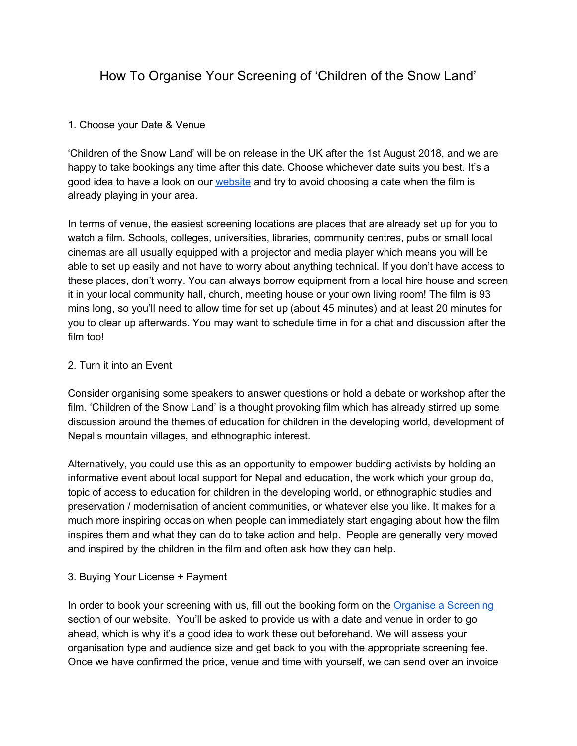# How To Organise Your Screening of 'Children of the Snow Land'

## 1. Choose your Date & Venue

'Children of the Snow Land' will be on release in the UK after the 1st August 2018, and we are happy to take bookings any time after this date. Choose whichever date suits you best. It's a good idea to have a look on our [website](http://childrenofthesnowland.com/) and try to avoid choosing a date when the film is already playing in your area.

In terms of venue, the easiest screening locations are places that are already set up for you to watch a film. Schools, colleges, universities, libraries, community centres, pubs or small local cinemas are all usually equipped with a projector and media player which means you will be able to set up easily and not have to worry about anything technical. If you don't have access to these places, don't worry. You can always borrow equipment from a local hire house and screen it in your local community hall, church, meeting house or your own living room! The film is 93 mins long, so you'll need to allow time for set up (about 45 minutes) and at least 20 minutes for you to clear up afterwards. You may want to schedule time in for a chat and discussion after the film too!

## 2. Turn it into an Event

Consider organising some speakers to answer questions or hold a debate or workshop after the film. 'Children of the Snow Land' is a thought provoking film which has already stirred up some discussion around the themes of education for children in the developing world, development of Nepal's mountain villages, and ethnographic interest.

Alternatively, you could use this as an opportunity to empower budding activists by holding an informative event about local support for Nepal and education, the work which your group do, topic of access to education for children in the developing world, or ethnographic studies and preservation / modernisation of ancient communities, or whatever else you like. It makes for a much more inspiring occasion when people can immediately start engaging about how the film inspires them and what they can do to take action and help. People are generally very moved and inspired by the children in the film and often ask how they can help.

#### 3. Buying Your License + Payment

In order to book your screening with us, fill out the booking form on the Organise a [Screening](http://childrenofthesnowland.com/organise-a-screening) section of our website. You'll be asked to provide us with a date and venue in order to go ahead, which is why it's a good idea to work these out beforehand. We will assess your organisation type and audience size and get back to you with the appropriate screening fee. Once we have confirmed the price, venue and time with yourself, we can send over an invoice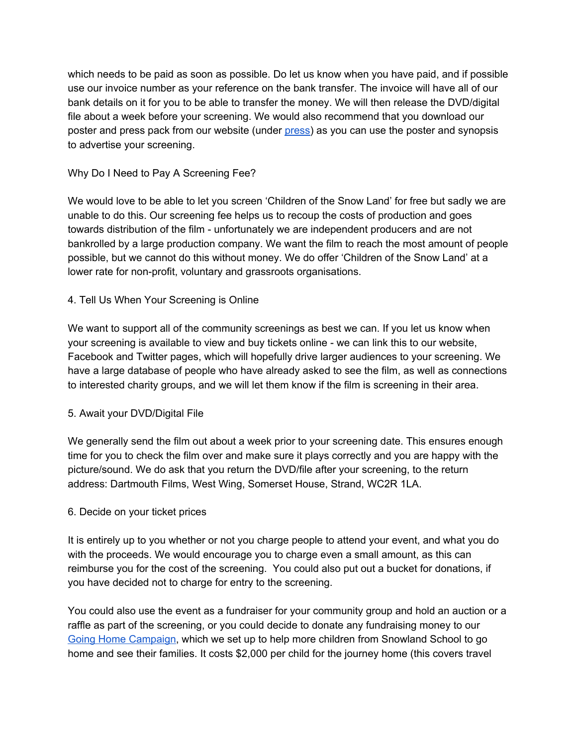which needs to be paid as soon as possible. Do let us know when you have paid, and if possible use our invoice number as your reference on the bank transfer. The invoice will have all of our bank details on it for you to be able to transfer the money. We will then release the DVD/digital file about a week before your screening. We would also recommend that you download our poster and press pack from our website (under [press](http://childrenofthesnowland.com/press)) as you can use the poster and synopsis to advertise your screening.

## Why Do I Need to Pay A Screening Fee?

We would love to be able to let you screen 'Children of the Snow Land' for free but sadly we are unable to do this. Our screening fee helps us to recoup the costs of production and goes towards distribution of the film - unfortunately we are independent producers and are not bankrolled by a large production company. We want the film to reach the most amount of people possible, but we cannot do this without money. We do offer 'Children of the Snow Land' at a lower rate for non-profit, voluntary and grassroots organisations.

## 4. Tell Us When Your Screening is Online

We want to support all of the community screenings as best we can. If you let us know when your screening is available to view and buy tickets online - we can link this to our website, Facebook and Twitter pages, which will hopefully drive larger audiences to your screening. We have a large database of people who have already asked to see the film, as well as connections to interested charity groups, and we will let them know if the film is screening in their area.

#### 5. Await your DVD/Digital File

We generally send the film out about a week prior to your screening date. This ensures enough time for you to check the film over and make sure it plays correctly and you are happy with the picture/sound. We do ask that you return the DVD/file after your screening, to the return address: Dartmouth Films, West Wing, Somerset House, Strand, WC2R 1LA.

#### 6. Decide on your ticket prices

It is entirely up to you whether or not you charge people to attend your event, and what you do with the proceeds. We would encourage you to charge even a small amount, as this can reimburse you for the cost of the screening. You could also put out a bucket for donations, if you have decided not to charge for entry to the screening.

You could also use the event as a fundraiser for your community group and hold an auction or a raffle as part of the screening, or you could decide to donate any fundraising money to our Going Home [Campaign,](https://simplygiving.com/going-home) which we set up to help more children from Snowland School to go home and see their families. It costs \$2,000 per child for the journey home (this covers travel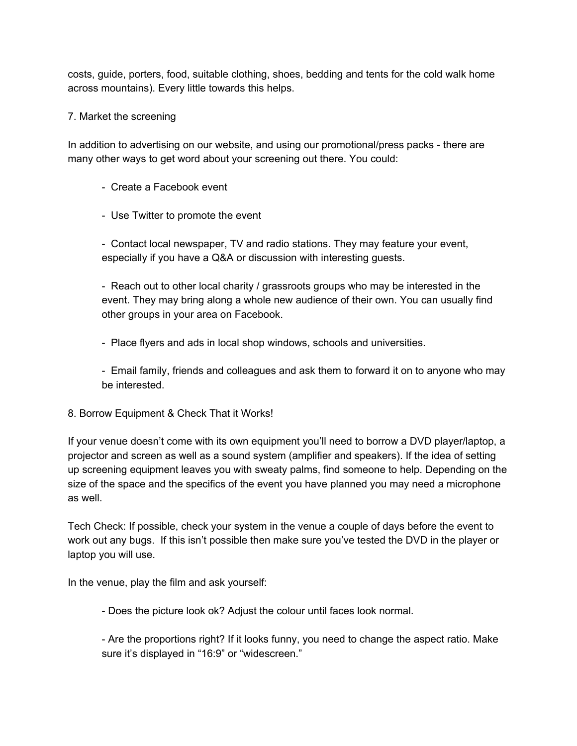costs, guide, porters, food, suitable clothing, shoes, bedding and tents for the cold walk home across mountains). Every little towards this helps.

# 7. Market the screening

In addition to advertising on our website, and using our promotional/press packs - there are many other ways to get word about your screening out there. You could:

- Create a Facebook event
- Use Twitter to promote the event

- Contact local newspaper, TV and radio stations. They may feature your event, especially if you have a Q&A or discussion with interesting guests.

- Reach out to other local charity / grassroots groups who may be interested in the event. They may bring along a whole new audience of their own. You can usually find other groups in your area on Facebook.

- Place flyers and ads in local shop windows, schools and universities.

- Email family, friends and colleagues and ask them to forward it on to anyone who may be interested.

8. Borrow Equipment & Check That it Works!

If your venue doesn't come with its own equipment you'll need to borrow a DVD player/laptop, a projector and screen as well as a sound system (amplifier and speakers). If the idea of setting up screening equipment leaves you with sweaty palms, find someone to help. Depending on the size of the space and the specifics of the event you have planned you may need a microphone as well.

Tech Check: If possible, check your system in the venue a couple of days before the event to work out any bugs. If this isn't possible then make sure you've tested the DVD in the player or laptop you will use.

In the venue, play the film and ask yourself:

- Does the picture look ok? Adjust the colour until faces look normal.

- Are the proportions right? If it looks funny, you need to change the aspect ratio. Make sure it's displayed in "16:9" or "widescreen."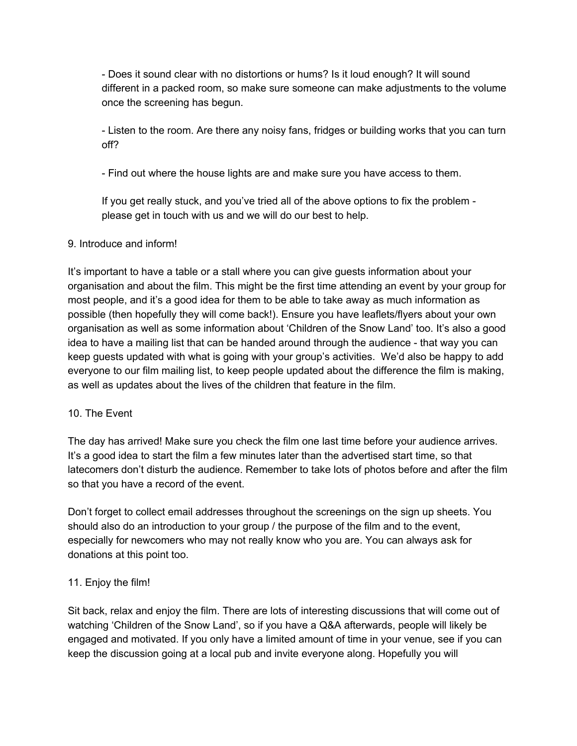- Does it sound clear with no distortions or hums? Is it loud enough? It will sound different in a packed room, so make sure someone can make adjustments to the volume once the screening has begun.

- Listen to the room. Are there any noisy fans, fridges or building works that you can turn off?

- Find out where the house lights are and make sure you have access to them.

If you get really stuck, and you've tried all of the above options to fix the problem please get in touch with us and we will do our best to help.

# 9. Introduce and inform!

It's important to have a table or a stall where you can give guests information about your organisation and about the film. This might be the first time attending an event by your group for most people, and it's a good idea for them to be able to take away as much information as possible (then hopefully they will come back!). Ensure you have leaflets/flyers about your own organisation as well as some information about 'Children of the Snow Land' too. It's also a good idea to have a mailing list that can be handed around through the audience - that way you can keep guests updated with what is going with your group's activities. We'd also be happy to add everyone to our film mailing list, to keep people updated about the difference the film is making, as well as updates about the lives of the children that feature in the film.

# 10. The Event

The day has arrived! Make sure you check the film one last time before your audience arrives. It's a good idea to start the film a few minutes later than the advertised start time, so that latecomers don't disturb the audience. Remember to take lots of photos before and after the film so that you have a record of the event.

Don't forget to collect email addresses throughout the screenings on the sign up sheets. You should also do an introduction to your group / the purpose of the film and to the event, especially for newcomers who may not really know who you are. You can always ask for donations at this point too.

# 11. Enjoy the film!

Sit back, relax and enjoy the film. There are lots of interesting discussions that will come out of watching 'Children of the Snow Land', so if you have a Q&A afterwards, people will likely be engaged and motivated. If you only have a limited amount of time in your venue, see if you can keep the discussion going at a local pub and invite everyone along. Hopefully you will